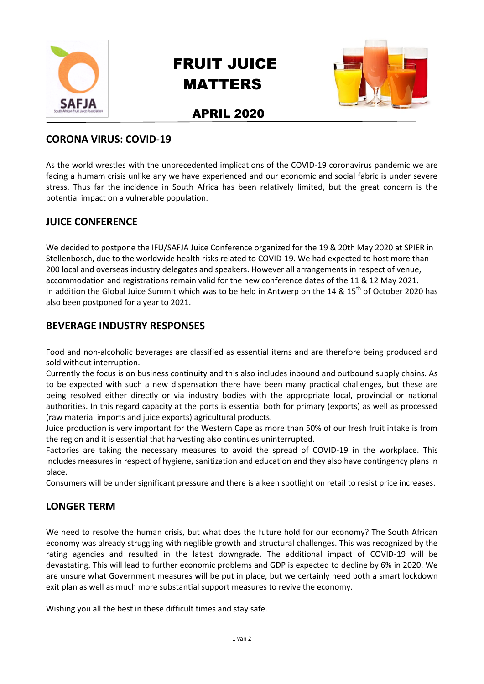

# FRUIT JUICE MATTERS



# APRIL 2020

#### **CORONA VIRUS: COVID-19**

As the world wrestles with the unprecedented implications of the COVID-19 coronavirus pandemic we are facing a humam crisis unlike any we have experienced and our economic and social fabric is under severe stress. Thus far the incidence in South Africa has been relatively limited, but the great concern is the potential impact on a vulnerable population.

### **JUICE CONFERENCE**

We decided to postpone the IFU/SAFJA Juice Conference organized for the 19 & 20th May 2020 at SPIER in Stellenbosch, due to the worldwide health risks related to COVID-19. We had expected to host more than 200 local and overseas industry delegates and speakers. However all arrangements in respect of venue, accommodation and registrations remain valid for the new conference dates of the 11 & 12 May 2021. In addition the Global Juice Summit which was to be held in Antwerp on the 14 &  $15<sup>th</sup>$  of October 2020 has also been postponed for a year to 2021.

### **BEVERAGE INDUSTRY RESPONSES**

Food and non-alcoholic beverages are classified as essential items and are therefore being produced and sold without interruption.

Currently the focus is on business continuity and this also includes inbound and outbound supply chains. As to be expected with such a new dispensation there have been many practical challenges, but these are being resolved either directly or via industry bodies with the appropriate local, provincial or national authorities. In this regard capacity at the ports is essential both for primary (exports) as well as processed (raw material imports and juice exports) agricultural products.

Juice production is very important for the Western Cape as more than 50% of our fresh fruit intake is from the region and it is essential that harvesting also continues uninterrupted.

Factories are taking the necessary measures to avoid the spread of COVID-19 in the workplace. This includes measures in respect of hygiene, sanitization and education and they also have contingency plans in place.

Consumers will be under significant pressure and there is a keen spotlight on retail to resist price increases.

## **LONGER TERM**

We need to resolve the human crisis, but what does the future hold for our economy? The South African economy was already struggling with neglible growth and structural challenges. This was recognized by the rating agencies and resulted in the latest downgrade. The additional impact of COVID-19 will be devastating. This will lead to further economic problems and GDP is expected to decline by 6% in 2020. We are unsure what Government measures will be put in place, but we certainly need both a smart lockdown exit plan as well as much more substantial support measures to revive the economy.

Wishing you all the best in these difficult times and stay safe.